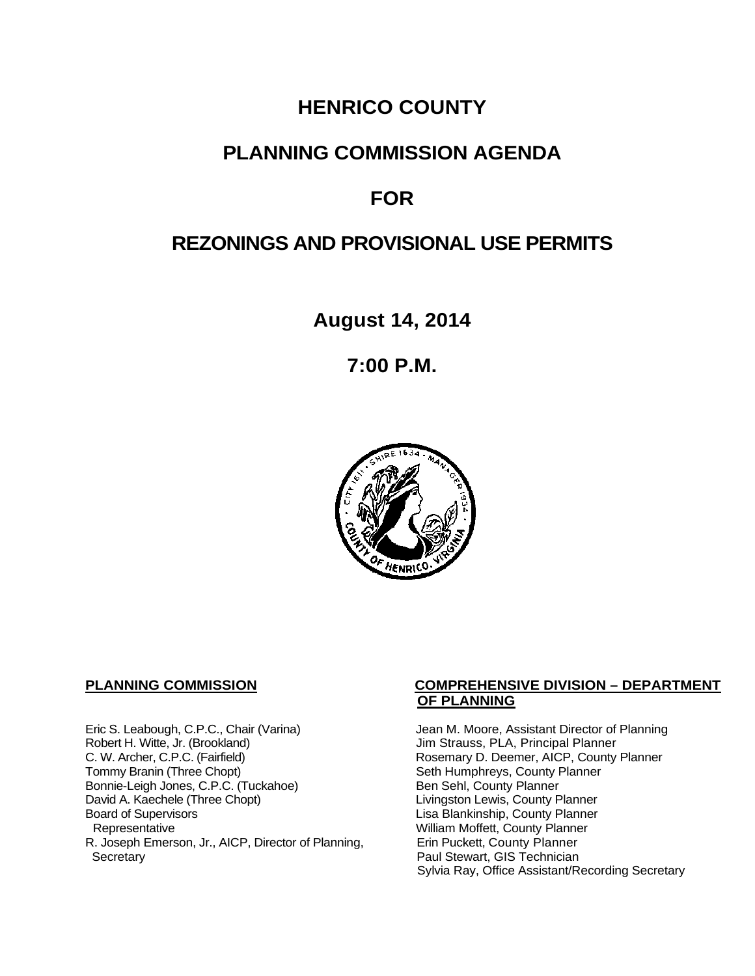# **HENRICO COUNTY**

# **PLANNING COMMISSION AGENDA**

# **FOR**

# **REZONINGS AND PROVISIONAL USE PERMITS**

**August 14, 2014**

**7:00 P.M.**



Eric S. Leabough, C.P.C., Chair (Varina) Jean M. Moore, Assistant Director of Planning<br>Robert H. Witte, Jr. (Brookland) Jim Strauss, PLA, Principal Planner Robert H. Witte, Jr. (Brookland)<br>C. W. Archer, C.P.C. (Fairfield) G. W. Archer, C.P.C. (Fairfield) C. W. Archer, C.P.C. (Fairfield) C. W. Archer, C.P.C. (Fairfield) Rosemary D. Deemer, AICP, County Planner<br>Tommy Branin (Three Chopt) Seth Humphreys, County Planner Bonnie-Leigh Jones, C.P.C. (Tuckahoe)<br>David A. Kaechele (Three Chopt) David A. Kaechele (Three Chopt) Livingston Lewis, County Planner<br>Board of Supervisors County Planner<br>Lisa Blankinship, County Planner Board of Supervisors Lisa Blankinship, County Planner R. Joseph Emerson, Jr., AICP, Director of Planning, Secretary

### **PLANNING COMMISSION COMPREHENSIVE DIVISION – DEPARTMENT OF PLANNING**

Seth Humphreys, County Planner<br>Ben Sehl, County Planner William Moffett, County Planner<br>Erin Puckett, County Planner Paul Stewart, GIS Technician Sylvia Ray, Office Assistant/Recording Secretary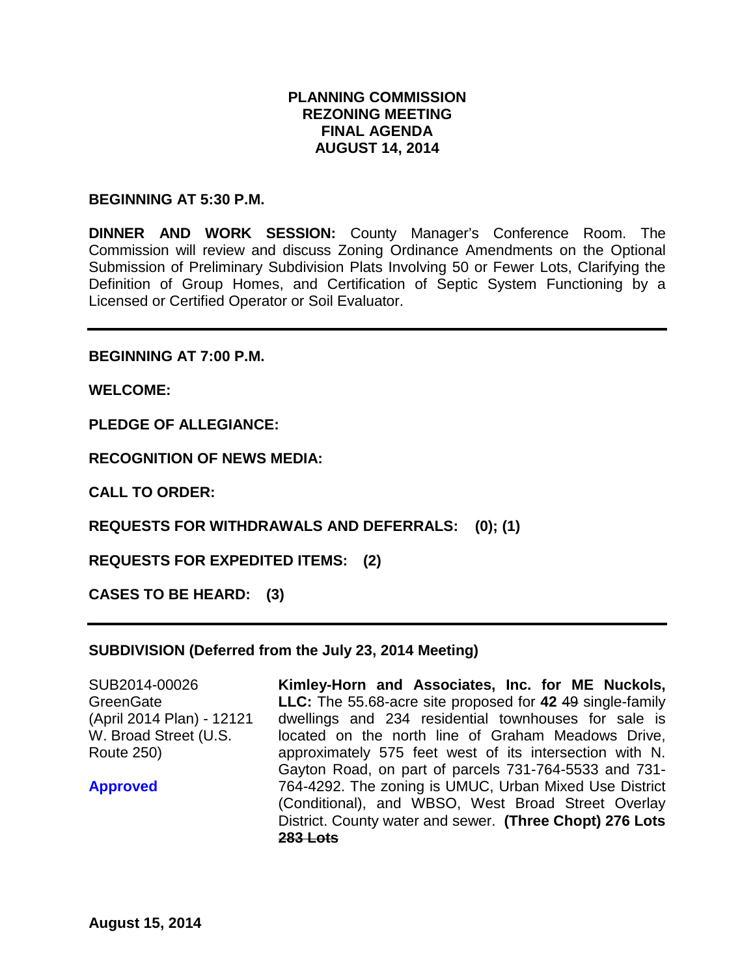## **PLANNING COMMISSION REZONING MEETING FINAL AGENDA AUGUST 14, 2014**

#### **BEGINNING AT 5:30 P.M.**

**DINNER AND WORK SESSION:** County Manager's Conference Room. The Commission will review and discuss Zoning Ordinance Amendments on the Optional Submission of Preliminary Subdivision Plats Involving 50 or Fewer Lots, Clarifying the Definition of Group Homes, and Certification of Septic System Functioning by a Licensed or Certified Operator or Soil Evaluator.

**BEGINNING AT 7:00 P.M.**

**WELCOME:**

**PLEDGE OF ALLEGIANCE:**

**RECOGNITION OF NEWS MEDIA:**

**CALL TO ORDER:**

**REQUESTS FOR WITHDRAWALS AND DEFERRALS: (0); (1)**

**REQUESTS FOR EXPEDITED ITEMS: (2)**

**CASES TO BE HEARD: (3)**

#### **SUBDIVISION (Deferred from the July 23, 2014 Meeting)**

SUB2014-00026 **GreenGate** (April 2014 Plan) - 12121 W. Broad Street (U.S. Route 250)

**Approved**

**Kimley-Horn and Associates, Inc. for ME Nuckols, LLC:** The 55.68-acre site proposed for **42** 49 single-family dwellings and 234 residential townhouses for sale is located on the north line of Graham Meadows Drive, approximately 575 feet west of its intersection with N. Gayton Road, on part of parcels 731-764-5533 and 731- 764-4292. The zoning is UMUC, Urban Mixed Use District (Conditional), and WBSO, West Broad Street Overlay District. County water and sewer. **(Three Chopt) 276 Lots 283 Lots**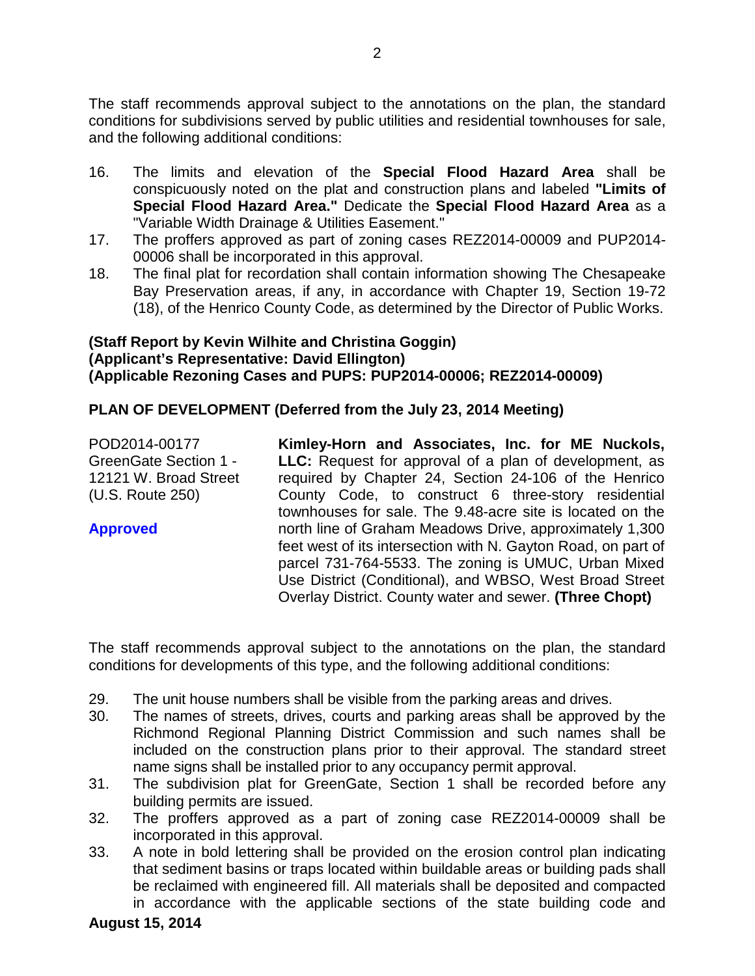The staff recommends approval subject to the annotations on the plan, the standard conditions for subdivisions served by public utilities and residential townhouses for sale, and the following additional conditions:

- 16. The limits and elevation of the **Special Flood Hazard Area** shall be conspicuously noted on the plat and construction plans and labeled **"Limits of Special Flood Hazard Area."** Dedicate the **Special Flood Hazard Area** as a "Variable Width Drainage & Utilities Easement."
- 17. The proffers approved as part of zoning cases REZ2014-00009 and PUP2014- 00006 shall be incorporated in this approval.
- 18. The final plat for recordation shall contain information showing The Chesapeake Bay Preservation areas, if any, in accordance with Chapter 19, Section 19-72 (18), of the Henrico County Code, as determined by the Director of Public Works.

# **(Staff Report by Kevin Wilhite and Christina Goggin) (Applicant's Representative: David Ellington) (Applicable Rezoning Cases and PUPS: PUP2014-00006; REZ2014-00009)**

# **PLAN OF DEVELOPMENT (Deferred from the July 23, 2014 Meeting)**

| POD2014-00177                                         | Kimley-Horn and Associates, Inc. for ME Nuckols,                                                                       |
|-------------------------------------------------------|------------------------------------------------------------------------------------------------------------------------|
| <b>GreenGate Section 1 -</b><br>12121 W. Broad Street | <b>LLC:</b> Request for approval of a plan of development, as<br>required by Chapter 24, Section 24-106 of the Henrico |
| (U.S. Route 250)                                      | County Code, to construct 6 three-story residential                                                                    |
|                                                       | townhouses for sale. The 9.48-acre site is located on the                                                              |
| <b>Approved</b>                                       | north line of Graham Meadows Drive, approximately 1,300                                                                |
|                                                       | feet west of its intersection with N. Gayton Road, on part of                                                          |
|                                                       | parcel 731-764-5533. The zoning is UMUC, Urban Mixed                                                                   |
|                                                       | Use District (Conditional), and WBSO, West Broad Street<br>Overlay District. County water and sewer. (Three Chopt)     |
|                                                       |                                                                                                                        |

The staff recommends approval subject to the annotations on the plan, the standard conditions for developments of this type, and the following additional conditions:

- 29. The unit house numbers shall be visible from the parking areas and drives.
- 30. The names of streets, drives, courts and parking areas shall be approved by the Richmond Regional Planning District Commission and such names shall be included on the construction plans prior to their approval. The standard street name signs shall be installed prior to any occupancy permit approval.
- 31. The subdivision plat for GreenGate, Section 1 shall be recorded before any building permits are issued.
- 32. The proffers approved as a part of zoning case REZ2014-00009 shall be incorporated in this approval.
- 33. A note in bold lettering shall be provided on the erosion control plan indicating that sediment basins or traps located within buildable areas or building pads shall be reclaimed with engineered fill. All materials shall be deposited and compacted in accordance with the applicable sections of the state building code and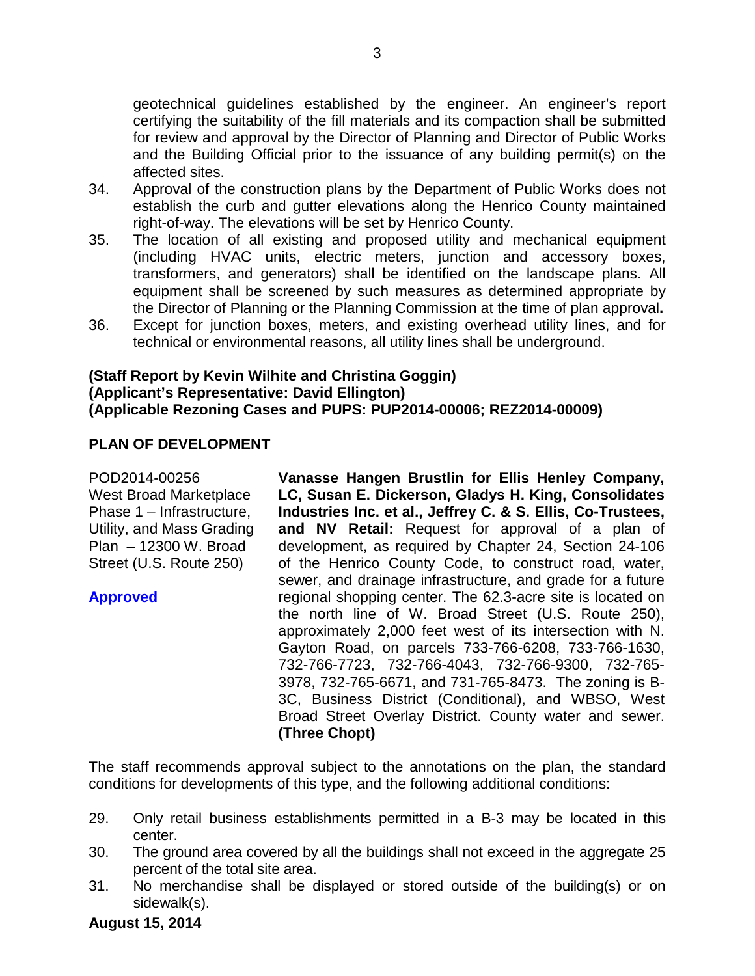geotechnical guidelines established by the engineer. An engineer's report certifying the suitability of the fill materials and its compaction shall be submitted for review and approval by the Director of Planning and Director of Public Works and the Building Official prior to the issuance of any building permit(s) on the affected sites.

- 34. Approval of the construction plans by the Department of Public Works does not establish the curb and gutter elevations along the Henrico County maintained right-of-way. The elevations will be set by Henrico County.
- 35. The location of all existing and proposed utility and mechanical equipment (including HVAC units, electric meters, junction and accessory boxes, transformers, and generators) shall be identified on the landscape plans. All equipment shall be screened by such measures as determined appropriate by the Director of Planning or the Planning Commission at the time of plan approval**.**
- 36. Except for junction boxes, meters, and existing overhead utility lines, and for technical or environmental reasons, all utility lines shall be underground.

# **(Staff Report by Kevin Wilhite and Christina Goggin) (Applicant's Representative: David Ellington) (Applicable Rezoning Cases and PUPS: PUP2014-00006; REZ2014-00009)**

# **PLAN OF DEVELOPMENT**

POD2014-00256 West Broad Marketplace Phase 1 – Infrastructure, Utility, and Mass Grading Plan – 12300 W. Broad Street (U.S. Route 250)

**Approved**

**Vanasse Hangen Brustlin for Ellis Henley Company, LC, Susan E. Dickerson, Gladys H. King, Consolidates Industries Inc. et al., Jeffrey C. & S. Ellis, Co-Trustees, and NV Retail:** Request for approval of a plan of development, as required by Chapter 24, Section 24-106 of the Henrico County Code, to construct road, water, sewer, and drainage infrastructure, and grade for a future regional shopping center. The 62.3-acre site is located on the north line of W. Broad Street (U.S. Route 250), approximately 2,000 feet west of its intersection with N. Gayton Road, on parcels 733-766-6208, 733-766-1630, 732-766-7723, 732-766-4043, 732-766-9300, 732-765- 3978, 732-765-6671, and 731-765-8473. The zoning is B-3C, Business District (Conditional), and WBSO, West Broad Street Overlay District. County water and sewer. **(Three Chopt)**

The staff recommends approval subject to the annotations on the plan, the standard conditions for developments of this type, and the following additional conditions:

- 29. Only retail business establishments permitted in a B-3 may be located in this center.
- 30. The ground area covered by all the buildings shall not exceed in the aggregate 25 percent of the total site area.
- 31. No merchandise shall be displayed or stored outside of the building(s) or on sidewalk(s).

**August 15, 2014**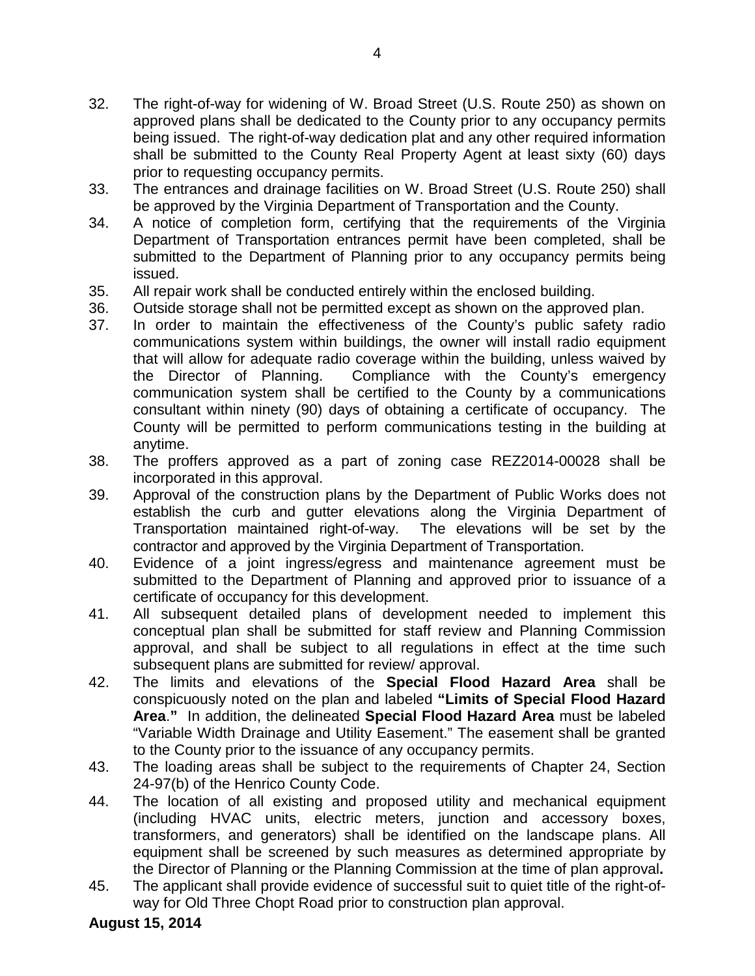- 32. The right-of-way for widening of W. Broad Street (U.S. Route 250) as shown on approved plans shall be dedicated to the County prior to any occupancy permits being issued. The right-of-way dedication plat and any other required information shall be submitted to the County Real Property Agent at least sixty (60) days prior to requesting occupancy permits.
- 33. The entrances and drainage facilities on W. Broad Street (U.S. Route 250) shall be approved by the Virginia Department of Transportation and the County.
- 34. A notice of completion form, certifying that the requirements of the Virginia Department of Transportation entrances permit have been completed, shall be submitted to the Department of Planning prior to any occupancy permits being issued.
- 35. All repair work shall be conducted entirely within the enclosed building.
- 36. Outside storage shall not be permitted except as shown on the approved plan.
- 37. In order to maintain the effectiveness of the County's public safety radio communications system within buildings, the owner will install radio equipment that will allow for adequate radio coverage within the building, unless waived by the Director of Planning. Compliance with the County's emergency communication system shall be certified to the County by a communications consultant within ninety (90) days of obtaining a certificate of occupancy. The County will be permitted to perform communications testing in the building at anytime.
- 38. The proffers approved as a part of zoning case REZ2014-00028 shall be incorporated in this approval.
- 39. Approval of the construction plans by the Department of Public Works does not establish the curb and gutter elevations along the Virginia Department of Transportation maintained right-of-way. The elevations will be set by the contractor and approved by the Virginia Department of Transportation.
- 40. Evidence of a joint ingress/egress and maintenance agreement must be submitted to the Department of Planning and approved prior to issuance of a certificate of occupancy for this development.
- 41. All subsequent detailed plans of development needed to implement this conceptual plan shall be submitted for staff review and Planning Commission approval, and shall be subject to all regulations in effect at the time such subsequent plans are submitted for review/ approval.
- 42. The limits and elevations of the **Special Flood Hazard Area** shall be conspicuously noted on the plan and labeled **"Limits of Special Flood Hazard Area**.**"** In addition, the delineated **Special Flood Hazard Area** must be labeled "Variable Width Drainage and Utility Easement." The easement shall be granted to the County prior to the issuance of any occupancy permits.
- 43. The loading areas shall be subject to the requirements of Chapter 24, Section 24-97(b) of the Henrico County Code.
- 44. The location of all existing and proposed utility and mechanical equipment (including HVAC units, electric meters, junction and accessory boxes, transformers, and generators) shall be identified on the landscape plans. All equipment shall be screened by such measures as determined appropriate by the Director of Planning or the Planning Commission at the time of plan approval**.**
- 45. The applicant shall provide evidence of successful suit to quiet title of the right-ofway for Old Three Chopt Road prior to construction plan approval.

### **August 15, 2014**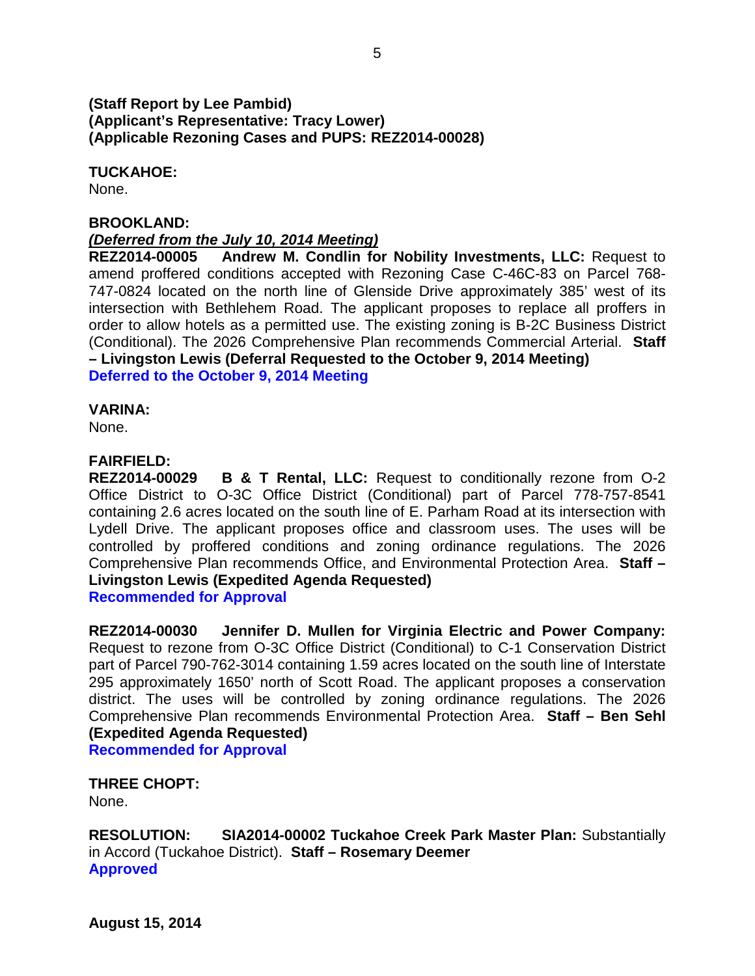## **(Staff Report by Lee Pambid) (Applicant's Representative: Tracy Lower) (Applicable Rezoning Cases and PUPS: REZ2014-00028)**

**TUCKAHOE:**

None.

#### **BROOKLAND:**

### *(Deferred from the July 10, 2014 Meeting)*

**REZ2014-00005 Andrew M. Condlin for Nobility Investments, LLC:** Request to amend proffered conditions accepted with Rezoning Case C-46C-83 on Parcel 768- 747-0824 located on the north line of Glenside Drive approximately 385' west of its intersection with Bethlehem Road. The applicant proposes to replace all proffers in order to allow hotels as a permitted use. The existing zoning is B-2C Business District (Conditional). The 2026 Comprehensive Plan recommends Commercial Arterial. **Staff – Livingston Lewis (Deferral Requested to the October 9, 2014 Meeting) Deferred to the October 9, 2014 Meeting**

#### **VARINA:**

None.

### **FAIRFIELD:**

**REZ2014-00029 B & T Rental, LLC:** Request to conditionally rezone from O-2 Office District to O-3C Office District (Conditional) part of Parcel 778-757-8541 containing 2.6 acres located on the south line of E. Parham Road at its intersection with Lydell Drive. The applicant proposes office and classroom uses. The uses will be controlled by proffered conditions and zoning ordinance regulations. The 2026 Comprehensive Plan recommends Office, and Environmental Protection Area. **Staff – Livingston Lewis (Expedited Agenda Requested) Recommended for Approval**

**REZ2014-00030 Jennifer D. Mullen for Virginia Electric and Power Company:**  Request to rezone from O-3C Office District (Conditional) to C-1 Conservation District part of Parcel 790-762-3014 containing 1.59 acres located on the south line of Interstate 295 approximately 1650' north of Scott Road. The applicant proposes a conservation district. The uses will be controlled by zoning ordinance regulations. The 2026 Comprehensive Plan recommends Environmental Protection Area. **Staff – Ben Sehl (Expedited Agenda Requested) Recommended for Approval**

**THREE CHOPT:**

None.

**RESOLUTION: SIA2014-00002 Tuckahoe Creek Park Master Plan:** Substantially in Accord (Tuckahoe District). **Staff – Rosemary Deemer Approved**